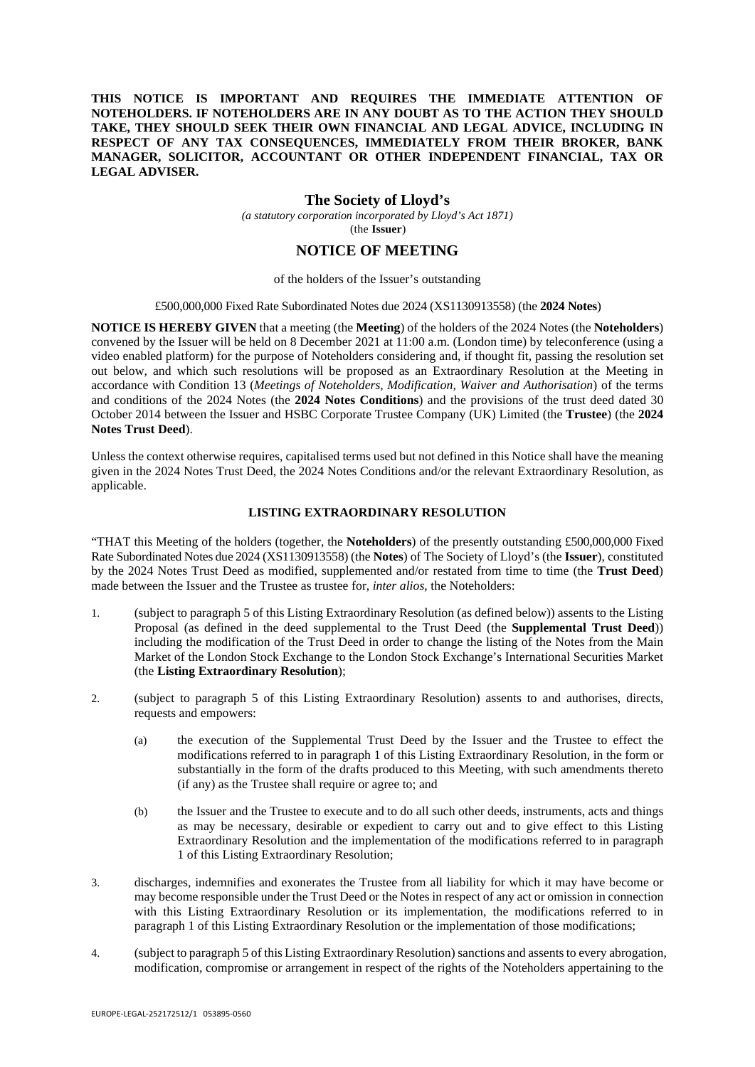### **THIS NOTICE IS IMPORTANT AND REQUIRES THE IMMEDIATE ATTENTION OF NOTEHOLDERS. IF NOTEHOLDERS ARE IN ANY DOUBT AS TO THE ACTION THEY SHOULD TAKE, THEY SHOULD SEEK THEIR OWN FINANCIAL AND LEGAL ADVICE, INCLUDING IN RESPECT OF ANY TAX CONSEQUENCES, IMMEDIATELY FROM THEIR BROKER, BANK MANAGER, SOLICITOR, ACCOUNTANT OR OTHER INDEPENDENT FINANCIAL, TAX OR LEGAL ADVISER.**

### **The Society of Lloyd's**

*(a statutory corporation incorporated by Lloyd's Act 1871)*  (the **Issuer**)

# **NOTICE OF MEETING**

#### of the holders of the Issuer's outstanding

### £500,000,000 Fixed Rate Subordinated Notes due 2024 (XS1130913558) (the **2024 Notes**)

**NOTICE IS HEREBY GIVEN** that a meeting (the **Meeting**) of the holders of the 2024 Notes (the **Noteholders**) convened by the Issuer will be held on 8 December 2021 at 11:00 a.m. (London time) by teleconference (using a video enabled platform) for the purpose of Noteholders considering and, if thought fit, passing the resolution set out below, and which such resolutions will be proposed as an Extraordinary Resolution at the Meeting in accordance with Condition 13 (*Meetings of Noteholders, Modification, Waiver and Authorisation*) of the terms and conditions of the 2024 Notes (the **2024 Notes Conditions**) and the provisions of the trust deed dated 30 October 2014 between the Issuer and HSBC Corporate Trustee Company (UK) Limited (the **Trustee**) (the **2024 Notes Trust Deed**).

Unless the context otherwise requires, capitalised terms used but not defined in this Notice shall have the meaning given in the 2024 Notes Trust Deed, the 2024 Notes Conditions and/or the relevant Extraordinary Resolution, as applicable.

### **LISTING EXTRAORDINARY RESOLUTION**

"THAT this Meeting of the holders (together, the **Noteholders**) of the presently outstanding £500,000,000 Fixed Rate Subordinated Notes due 2024 (XS1130913558) (the **Notes**) of The Society of Lloyd's (the **Issuer**), constituted by the 2024 Notes Trust Deed as modified, supplemented and/or restated from time to time (the **Trust Deed**) made between the Issuer and the Trustee as trustee for, *inter alios*, the Noteholders:

- 1. (subject to paragraph 5 of this Listing Extraordinary Resolution (as defined below)) assents to the Listing Proposal (as defined in the deed supplemental to the Trust Deed (the **Supplemental Trust Deed**)) including the modification of the Trust Deed in order to change the listing of the Notes from the Main Market of the London Stock Exchange to the London Stock Exchange's International Securities Market (the **Listing Extraordinary Resolution**);
- 2. (subject to paragraph 5 of this Listing Extraordinary Resolution) assents to and authorises, directs, requests and empowers:
	- (a) the execution of the Supplemental Trust Deed by the Issuer and the Trustee to effect the modifications referred to in paragraph 1 of this Listing Extraordinary Resolution, in the form or substantially in the form of the drafts produced to this Meeting, with such amendments thereto (if any) as the Trustee shall require or agree to; and
	- (b) the Issuer and the Trustee to execute and to do all such other deeds, instruments, acts and things as may be necessary, desirable or expedient to carry out and to give effect to this Listing Extraordinary Resolution and the implementation of the modifications referred to in paragraph 1 of this Listing Extraordinary Resolution;
- 3. discharges, indemnifies and exonerates the Trustee from all liability for which it may have become or may become responsible under the Trust Deed or the Notes in respect of any act or omission in connection with this Listing Extraordinary Resolution or its implementation, the modifications referred to in paragraph 1 of this Listing Extraordinary Resolution or the implementation of those modifications;
- 4. (subject to paragraph 5 of this Listing Extraordinary Resolution) sanctions and assents to every abrogation, modification, compromise or arrangement in respect of the rights of the Noteholders appertaining to the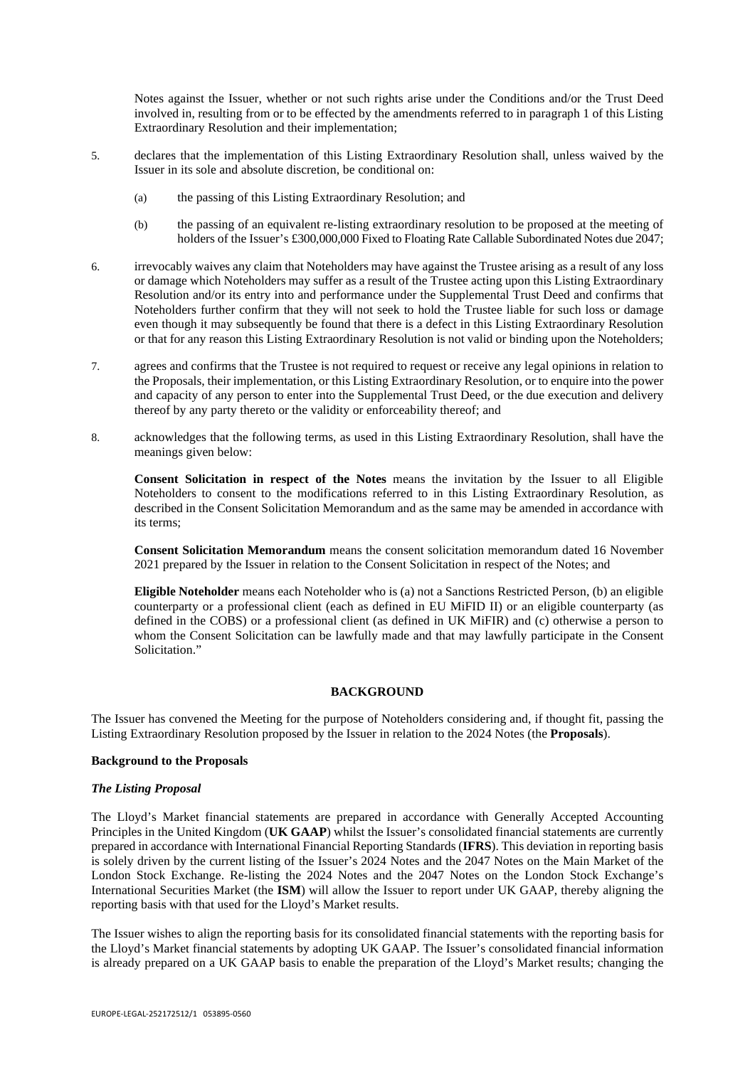Notes against the Issuer, whether or not such rights arise under the Conditions and/or the Trust Deed involved in, resulting from or to be effected by the amendments referred to in paragraph 1 of this Listing Extraordinary Resolution and their implementation;

- 5. declares that the implementation of this Listing Extraordinary Resolution shall, unless waived by the Issuer in its sole and absolute discretion, be conditional on:
	- (a) the passing of this Listing Extraordinary Resolution; and
	- (b) the passing of an equivalent re-listing extraordinary resolution to be proposed at the meeting of holders of the Issuer's £300,000,000 Fixed to Floating Rate Callable Subordinated Notes due 2047;
- 6. irrevocably waives any claim that Noteholders may have against the Trustee arising as a result of any loss or damage which Noteholders may suffer as a result of the Trustee acting upon this Listing Extraordinary Resolution and/or its entry into and performance under the Supplemental Trust Deed and confirms that Noteholders further confirm that they will not seek to hold the Trustee liable for such loss or damage even though it may subsequently be found that there is a defect in this Listing Extraordinary Resolution or that for any reason this Listing Extraordinary Resolution is not valid or binding upon the Noteholders;
- 7. agrees and confirms that the Trustee is not required to request or receive any legal opinions in relation to the Proposals, their implementation, or this Listing Extraordinary Resolution, or to enquire into the power and capacity of any person to enter into the Supplemental Trust Deed, or the due execution and delivery thereof by any party thereto or the validity or enforceability thereof; and
- 8. acknowledges that the following terms, as used in this Listing Extraordinary Resolution, shall have the meanings given below:

**Consent Solicitation in respect of the Notes** means the invitation by the Issuer to all Eligible Noteholders to consent to the modifications referred to in this Listing Extraordinary Resolution, as described in the Consent Solicitation Memorandum and as the same may be amended in accordance with its terms;

**Consent Solicitation Memorandum** means the consent solicitation memorandum dated 16 November 2021 prepared by the Issuer in relation to the Consent Solicitation in respect of the Notes; and

**Eligible Noteholder** means each Noteholder who is (a) not a Sanctions Restricted Person, (b) an eligible counterparty or a professional client (each as defined in EU MiFID II) or an eligible counterparty (as defined in the COBS) or a professional client (as defined in UK MiFIR) and (c) otherwise a person to whom the Consent Solicitation can be lawfully made and that may lawfully participate in the Consent Solicitation."

## **BACKGROUND**

The Issuer has convened the Meeting for the purpose of Noteholders considering and, if thought fit, passing the Listing Extraordinary Resolution proposed by the Issuer in relation to the 2024 Notes (the **Proposals**).

## **Background to the Proposals**

#### *The Listing Proposal*

The Lloyd's Market financial statements are prepared in accordance with Generally Accepted Accounting Principles in the United Kingdom (**UK GAAP**) whilst the Issuer's consolidated financial statements are currently prepared in accordance with International Financial Reporting Standards (**IFRS**). This deviation in reporting basis is solely driven by the current listing of the Issuer's 2024 Notes and the 2047 Notes on the Main Market of the London Stock Exchange. Re-listing the 2024 Notes and the 2047 Notes on the London Stock Exchange's International Securities Market (the **ISM**) will allow the Issuer to report under UK GAAP, thereby aligning the reporting basis with that used for the Lloyd's Market results.

The Issuer wishes to align the reporting basis for its consolidated financial statements with the reporting basis for the Lloyd's Market financial statements by adopting UK GAAP. The Issuer's consolidated financial information is already prepared on a UK GAAP basis to enable the preparation of the Lloyd's Market results; changing the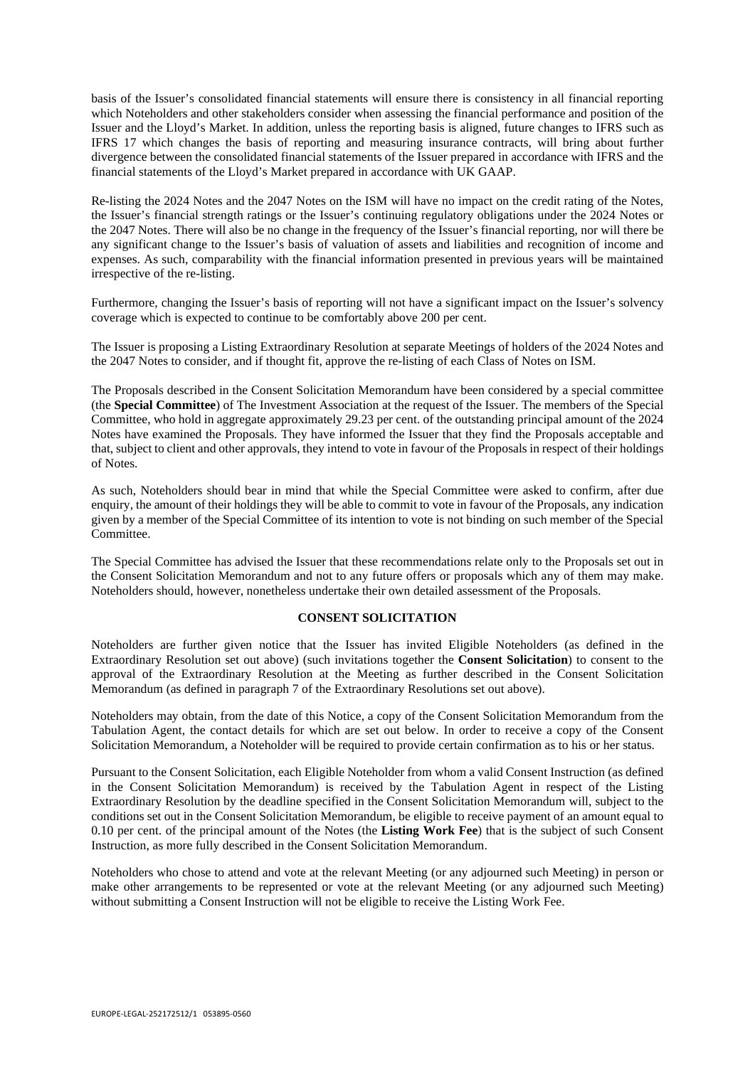basis of the Issuer's consolidated financial statements will ensure there is consistency in all financial reporting which Noteholders and other stakeholders consider when assessing the financial performance and position of the Issuer and the Lloyd's Market. In addition, unless the reporting basis is aligned, future changes to IFRS such as IFRS 17 which changes the basis of reporting and measuring insurance contracts, will bring about further divergence between the consolidated financial statements of the Issuer prepared in accordance with IFRS and the financial statements of the Lloyd's Market prepared in accordance with UK GAAP.

Re-listing the 2024 Notes and the 2047 Notes on the ISM will have no impact on the credit rating of the Notes, the Issuer's financial strength ratings or the Issuer's continuing regulatory obligations under the 2024 Notes or the 2047 Notes. There will also be no change in the frequency of the Issuer's financial reporting, nor will there be any significant change to the Issuer's basis of valuation of assets and liabilities and recognition of income and expenses. As such, comparability with the financial information presented in previous years will be maintained irrespective of the re-listing.

Furthermore, changing the Issuer's basis of reporting will not have a significant impact on the Issuer's solvency coverage which is expected to continue to be comfortably above 200 per cent.

The Issuer is proposing a Listing Extraordinary Resolution at separate Meetings of holders of the 2024 Notes and the 2047 Notes to consider, and if thought fit, approve the re-listing of each Class of Notes on ISM.

The Proposals described in the Consent Solicitation Memorandum have been considered by a special committee (the **Special Committee**) of The Investment Association at the request of the Issuer. The members of the Special Committee, who hold in aggregate approximately 29.23 per cent. of the outstanding principal amount of the 2024 Notes have examined the Proposals. They have informed the Issuer that they find the Proposals acceptable and that, subject to client and other approvals, they intend to vote in favour of the Proposals in respect of their holdings of Notes.

As such, Noteholders should bear in mind that while the Special Committee were asked to confirm, after due enquiry, the amount of their holdings they will be able to commit to vote in favour of the Proposals, any indication given by a member of the Special Committee of its intention to vote is not binding on such member of the Special Committee.

The Special Committee has advised the Issuer that these recommendations relate only to the Proposals set out in the Consent Solicitation Memorandum and not to any future offers or proposals which any of them may make. Noteholders should, however, nonetheless undertake their own detailed assessment of the Proposals.

#### **CONSENT SOLICITATION**

Noteholders are further given notice that the Issuer has invited Eligible Noteholders (as defined in the Extraordinary Resolution set out above) (such invitations together the **Consent Solicitation**) to consent to the approval of the Extraordinary Resolution at the Meeting as further described in the Consent Solicitation Memorandum (as defined in paragraph 7 of the Extraordinary Resolutions set out above).

Noteholders may obtain, from the date of this Notice, a copy of the Consent Solicitation Memorandum from the Tabulation Agent, the contact details for which are set out below. In order to receive a copy of the Consent Solicitation Memorandum, a Noteholder will be required to provide certain confirmation as to his or her status.

Pursuant to the Consent Solicitation, each Eligible Noteholder from whom a valid Consent Instruction (as defined in the Consent Solicitation Memorandum) is received by the Tabulation Agent in respect of the Listing Extraordinary Resolution by the deadline specified in the Consent Solicitation Memorandum will, subject to the conditions set out in the Consent Solicitation Memorandum, be eligible to receive payment of an amount equal to 0.10 per cent. of the principal amount of the Notes (the **Listing Work Fee**) that is the subject of such Consent Instruction, as more fully described in the Consent Solicitation Memorandum.

Noteholders who chose to attend and vote at the relevant Meeting (or any adjourned such Meeting) in person or make other arrangements to be represented or vote at the relevant Meeting (or any adjourned such Meeting) without submitting a Consent Instruction will not be eligible to receive the Listing Work Fee.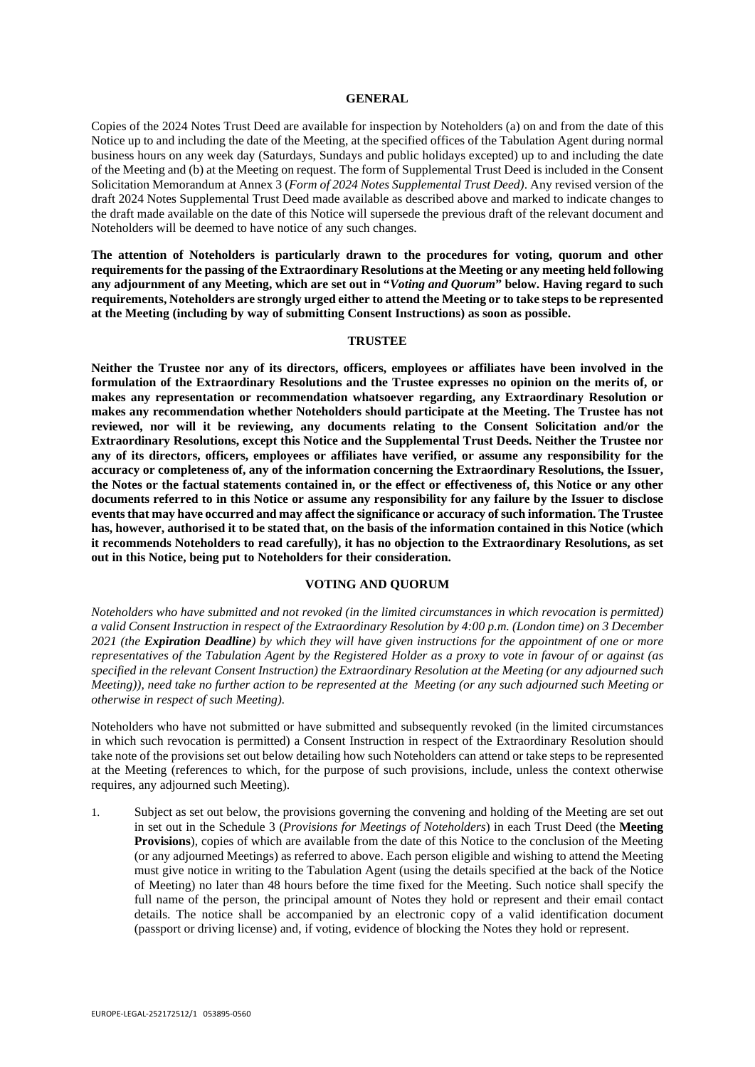#### **GENERAL**

Copies of the 2024 Notes Trust Deed are available for inspection by Noteholders (a) on and from the date of this Notice up to and including the date of the Meeting, at the specified offices of the Tabulation Agent during normal business hours on any week day (Saturdays, Sundays and public holidays excepted) up to and including the date of the Meeting and (b) at the Meeting on request. The form of Supplemental Trust Deed is included in the Consent Solicitation Memorandum at Annex 3 (*Form of 2024 Notes Supplemental Trust Deed)*. Any revised version of the draft 2024 Notes Supplemental Trust Deed made available as described above and marked to indicate changes to the draft made available on the date of this Notice will supersede the previous draft of the relevant document and Noteholders will be deemed to have notice of any such changes.

**The attention of Noteholders is particularly drawn to the procedures for voting, quorum and other requirements for the passing of the Extraordinary Resolutions at the Meeting or any meeting held following any adjournment of any Meeting, which are set out in "***Voting and Quorum***" below. Having regard to such requirements, Noteholders are strongly urged either to attend the Meeting or to take steps to be represented at the Meeting (including by way of submitting Consent Instructions) as soon as possible.**

#### **TRUSTEE**

**Neither the Trustee nor any of its directors, officers, employees or affiliates have been involved in the formulation of the Extraordinary Resolutions and the Trustee expresses no opinion on the merits of, or makes any representation or recommendation whatsoever regarding, any Extraordinary Resolution or makes any recommendation whether Noteholders should participate at the Meeting. The Trustee has not reviewed, nor will it be reviewing, any documents relating to the Consent Solicitation and/or the Extraordinary Resolutions, except this Notice and the Supplemental Trust Deeds. Neither the Trustee nor any of its directors, officers, employees or affiliates have verified, or assume any responsibility for the accuracy or completeness of, any of the information concerning the Extraordinary Resolutions, the Issuer, the Notes or the factual statements contained in, or the effect or effectiveness of, this Notice or any other documents referred to in this Notice or assume any responsibility for any failure by the Issuer to disclose events that may have occurred and may affect the significance or accuracy of such information. The Trustee has, however, authorised it to be stated that, on the basis of the information contained in this Notice (which it recommends Noteholders to read carefully), it has no objection to the Extraordinary Resolutions, as set out in this Notice, being put to Noteholders for their consideration.**

### **VOTING AND QUORUM**

*Noteholders who have submitted and not revoked (in the limited circumstances in which revocation is permitted) a valid Consent Instruction in respect of the Extraordinary Resolution by 4:00 p.m. (London time) on 3 December 2021 (the Expiration Deadline) by which they will have given instructions for the appointment of one or more representatives of the Tabulation Agent by the Registered Holder as a proxy to vote in favour of or against (as specified in the relevant Consent Instruction) the Extraordinary Resolution at the Meeting (or any adjourned such Meeting)), need take no further action to be represented at the Meeting (or any such adjourned such Meeting or otherwise in respect of such Meeting).*

Noteholders who have not submitted or have submitted and subsequently revoked (in the limited circumstances in which such revocation is permitted) a Consent Instruction in respect of the Extraordinary Resolution should take note of the provisions set out below detailing how such Noteholders can attend or take steps to be represented at the Meeting (references to which, for the purpose of such provisions, include, unless the context otherwise requires, any adjourned such Meeting).

1. Subject as set out below, the provisions governing the convening and holding of the Meeting are set out in set out in the Schedule 3 (*Provisions for Meetings of Noteholders*) in each Trust Deed (the **Meeting Provisions**), copies of which are available from the date of this Notice to the conclusion of the Meeting (or any adjourned Meetings) as referred to above. Each person eligible and wishing to attend the Meeting must give notice in writing to the Tabulation Agent (using the details specified at the back of the Notice of Meeting) no later than 48 hours before the time fixed for the Meeting. Such notice shall specify the full name of the person, the principal amount of Notes they hold or represent and their email contact details. The notice shall be accompanied by an electronic copy of a valid identification document (passport or driving license) and, if voting, evidence of blocking the Notes they hold or represent.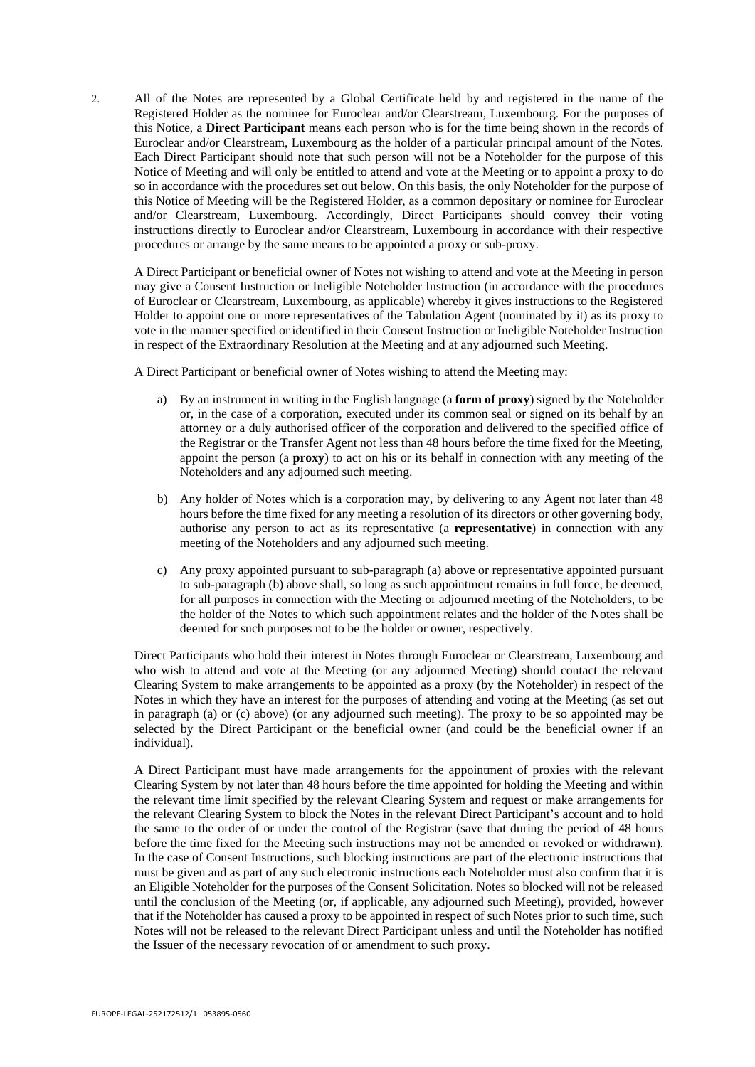2. All of the Notes are represented by a Global Certificate held by and registered in the name of the Registered Holder as the nominee for Euroclear and/or Clearstream, Luxembourg. For the purposes of this Notice, a **Direct Participant** means each person who is for the time being shown in the records of Euroclear and/or Clearstream, Luxembourg as the holder of a particular principal amount of the Notes. Each Direct Participant should note that such person will not be a Noteholder for the purpose of this Notice of Meeting and will only be entitled to attend and vote at the Meeting or to appoint a proxy to do so in accordance with the procedures set out below. On this basis, the only Noteholder for the purpose of this Notice of Meeting will be the Registered Holder, as a common depositary or nominee for Euroclear and/or Clearstream, Luxembourg. Accordingly, Direct Participants should convey their voting instructions directly to Euroclear and/or Clearstream, Luxembourg in accordance with their respective procedures or arrange by the same means to be appointed a proxy or sub-proxy.

A Direct Participant or beneficial owner of Notes not wishing to attend and vote at the Meeting in person may give a Consent Instruction or Ineligible Noteholder Instruction (in accordance with the procedures of Euroclear or Clearstream, Luxembourg, as applicable) whereby it gives instructions to the Registered Holder to appoint one or more representatives of the Tabulation Agent (nominated by it) as its proxy to vote in the manner specified or identified in their Consent Instruction or Ineligible Noteholder Instruction in respect of the Extraordinary Resolution at the Meeting and at any adjourned such Meeting.

A Direct Participant or beneficial owner of Notes wishing to attend the Meeting may:

- a) By an instrument in writing in the English language (a **form of proxy**) signed by the Noteholder or, in the case of a corporation, executed under its common seal or signed on its behalf by an attorney or a duly authorised officer of the corporation and delivered to the specified office of the Registrar or the Transfer Agent not less than 48 hours before the time fixed for the Meeting, appoint the person (a **proxy**) to act on his or its behalf in connection with any meeting of the Noteholders and any adjourned such meeting.
- b) Any holder of Notes which is a corporation may, by delivering to any Agent not later than 48 hours before the time fixed for any meeting a resolution of its directors or other governing body, authorise any person to act as its representative (a **representative**) in connection with any meeting of the Noteholders and any adjourned such meeting.
- c) Any proxy appointed pursuant to sub-paragraph (a) above or representative appointed pursuant to sub-paragraph (b) above shall, so long as such appointment remains in full force, be deemed, for all purposes in connection with the Meeting or adjourned meeting of the Noteholders, to be the holder of the Notes to which such appointment relates and the holder of the Notes shall be deemed for such purposes not to be the holder or owner, respectively.

Direct Participants who hold their interest in Notes through Euroclear or Clearstream, Luxembourg and who wish to attend and vote at the Meeting (or any adjourned Meeting) should contact the relevant Clearing System to make arrangements to be appointed as a proxy (by the Noteholder) in respect of the Notes in which they have an interest for the purposes of attending and voting at the Meeting (as set out in paragraph (a) or (c) above) (or any adjourned such meeting). The proxy to be so appointed may be selected by the Direct Participant or the beneficial owner (and could be the beneficial owner if an individual).

A Direct Participant must have made arrangements for the appointment of proxies with the relevant Clearing System by not later than 48 hours before the time appointed for holding the Meeting and within the relevant time limit specified by the relevant Clearing System and request or make arrangements for the relevant Clearing System to block the Notes in the relevant Direct Participant's account and to hold the same to the order of or under the control of the Registrar (save that during the period of 48 hours before the time fixed for the Meeting such instructions may not be amended or revoked or withdrawn). In the case of Consent Instructions, such blocking instructions are part of the electronic instructions that must be given and as part of any such electronic instructions each Noteholder must also confirm that it is an Eligible Noteholder for the purposes of the Consent Solicitation. Notes so blocked will not be released until the conclusion of the Meeting (or, if applicable, any adjourned such Meeting), provided, however that if the Noteholder has caused a proxy to be appointed in respect of such Notes prior to such time, such Notes will not be released to the relevant Direct Participant unless and until the Noteholder has notified the Issuer of the necessary revocation of or amendment to such proxy.